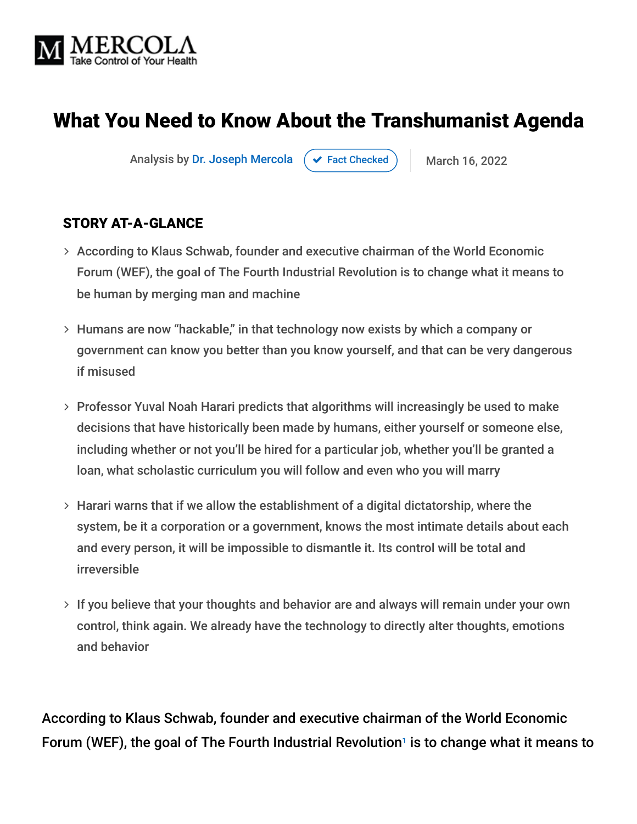

# What You Need to Know About the Transhumanist Agenda

Analysis by [Dr. Joseph Mercola](https://www.mercola.com/forms/background.htm)  $\rightarrow$  [Fact Checked](javascript:void(0)) March 16, 2022

#### STORY AT-A-GLANCE

- According to Klaus Schwab, founder and executive chairman of the World Economic Forum (WEF), the goal of The Fourth Industrial Revolution is to change what it means to be human by merging man and machine
- Humans are now "hackable," in that technology now exists by which a company or government can know you better than you know yourself, and that can be very dangerous if misused
- Professor Yuval Noah Harari predicts that algorithms will increasingly be used to make decisions that have historically been made by humans, either yourself or someone else, including whether or not you'll be hired for a particular job, whether you'll be granted a loan, what scholastic curriculum you will follow and even who you will marry
- Harari warns that if we allow the establishment of a digital dictatorship, where the system, be it a corporation or a government, knows the most intimate details about each and every person, it will be impossible to dismantle it. Its control will be total and irreversible
- $>$  If you believe that your thoughts and behavior are and always will remain under your own control, think again. We already have the technology to directly alter thoughts, emotions and behavior

According to Klaus Schwab, founder and executive chairman of the World Economic Forum (WEF), the goal of The Fourth Industrial Revolution<sup>1</sup> is to change what it means to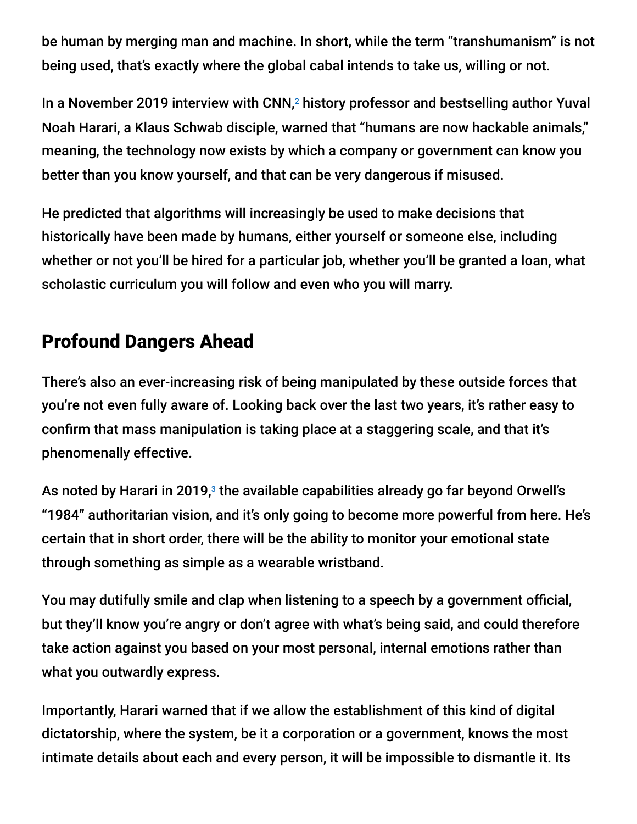be human by merging man and machine. In short, while the term "transhumanism" is not being used, that's exactly where the global cabal intends to take us, willing or not.

In a November 2019 interview with CNN,<sup>2</sup> history professor and bestselling author Yuval Noah Harari, a Klaus Schwab disciple, warned that "humans are now hackable animals," meaning, the technology now exists by which a company or government can know you better than you know yourself, and that can be very dangerous if misused.

He predicted that algorithms will increasingly be used to make decisions that historically have been made by humans, either yourself or someone else, including whether or not you'll be hired for a particular job, whether you'll be granted a loan, what scholastic curriculum you will follow and even who you will marry.

# Profound Dangers Ahead

There's also an ever-increasing risk of being manipulated by these outside forces that you're not even fully aware of. Looking back over the last two years, it's rather easy to confirm that mass manipulation is taking place at a staggering scale, and that it's phenomenally effective.

As noted by Harari in 2019, $^{\circ}$  the available capabilities already go far beyond Orwell's "1984" authoritarian vision, and it's only going to become more powerful from here. He's certain that in short order, there will be the ability to monitor your emotional state through something as simple as a wearable wristband.

You may dutifully smile and clap when listening to a speech by a government official, but they'll know you're angry or don't agree with what's being said, and could therefore take action against you based on your most personal, internal emotions rather than what you outwardly express.

Importantly, Harari warned that if we allow the establishment of this kind of digital dictatorship, where the system, be it a corporation or a government, knows the most intimate details about each and every person, it will be impossible to dismantle it. Its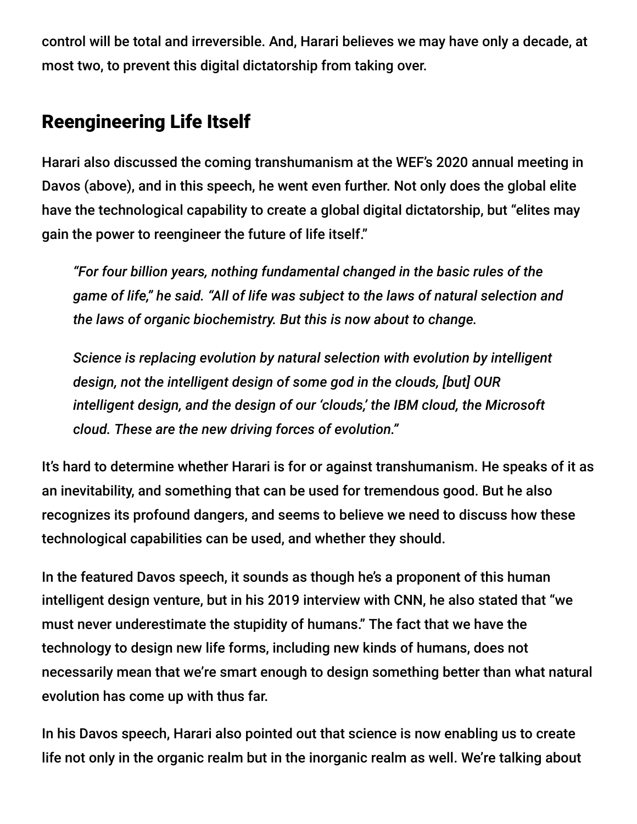control will be total and irreversible. And, Harari believes we may have only a decade, at most two, to prevent this digital dictatorship from taking over.

# Reengineering Life Itself

Harari also discussed the coming transhumanism at the WEF's 2020 annual meeting in Davos (above), and in this speech, he went even further. Not only does the global elite have the technological capability to create a global digital dictatorship, but "elites may gain the power to reengineer the future of life itself."

*"For four billion years, nothing fundamental changed in the basic rules of the game of life," he said. "All of life was subject to the laws of natural selection and the laws of organic biochemistry. But this is now about to change.*

*Science is replacing evolution by natural selection with evolution by intelligent design, not the intelligent design of some god in the clouds, [but] OUR intelligent design, and the design of our 'clouds,' the IBM cloud, the Microsoft cloud. These are the new driving forces of evolution."*

It's hard to determine whether Harari is for or against transhumanism. He speaks of it as an inevitability, and something that can be used for tremendous good. But he also recognizes its profound dangers, and seems to believe we need to discuss how these technological capabilities can be used, and whether they should.

In the featured Davos speech, it sounds as though he's a proponent of this human intelligent design venture, but in his 2019 interview with CNN, he also stated that "we must never underestimate the stupidity of humans." The fact that we have the technology to design new life forms, including new kinds of humans, does not necessarily mean that we're smart enough to design something better than what natural evolution has come up with thus far.

In his Davos speech, Harari also pointed out that science is now enabling us to create life not only in the organic realm but in the inorganic realm as well. We're talking about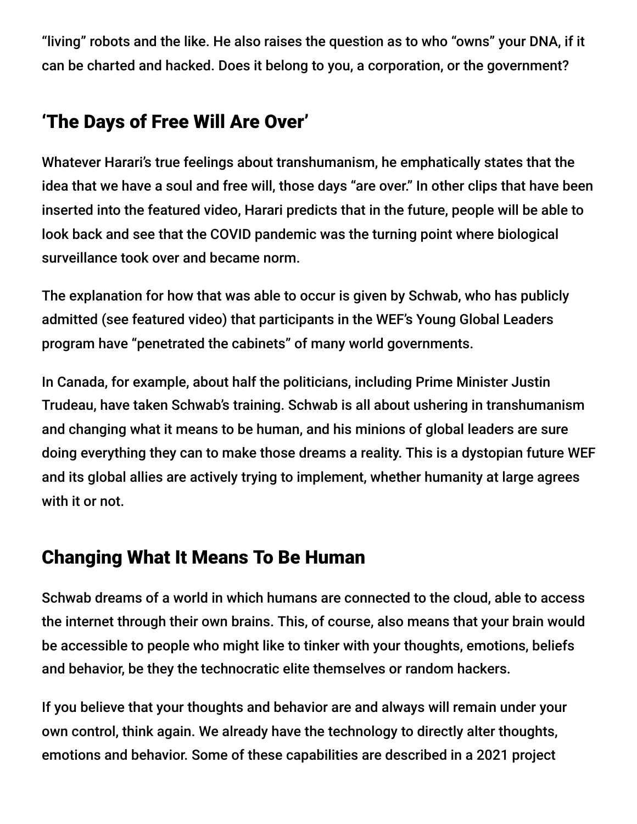"living" robots and the like. He also raises the question as to who "owns" your DNA, if it can be charted and hacked. Does it belong to you, a corporation, or the government?

# 'The Days of Free Will Are Over'

Whatever Harari's true feelings about transhumanism, he emphatically states that the idea that we have a soul and free will, those days "are over." In other clips that have been inserted into the featured video, Harari predicts that in the future, people will be able to look back and see that the COVID pandemic was the turning point where biological surveillance took over and became norm.

The explanation for how that was able to occur is given by Schwab, who has publicly admitted (see featured video) that participants in the WEF's Young Global Leaders program have "penetrated the cabinets" of many world governments.

In Canada, for example, about half the politicians, including Prime Minister Justin Trudeau, have taken Schwab's training. Schwab is all about ushering in transhumanism and changing what it means to be human, and his minions of global leaders are sure doing everything they can to make those dreams a reality. This is a dystopian future WEF and its global allies are actively trying to implement, whether humanity at large agrees with it or not.

### Changing What It Means To Be Human

Schwab dreams of a world in which humans are connected to the cloud, able to access the internet through their own brains. This, of course, also means that your brain would be accessible to people who might like to tinker with your thoughts, emotions, beliefs and behavior, be they the technocratic elite themselves or random hackers.

If you believe that your thoughts and behavior are and always will remain under your own control, think again. We already have the technology to directly alter thoughts, emotions and behavior. Some of these capabilities are described in a 2021 project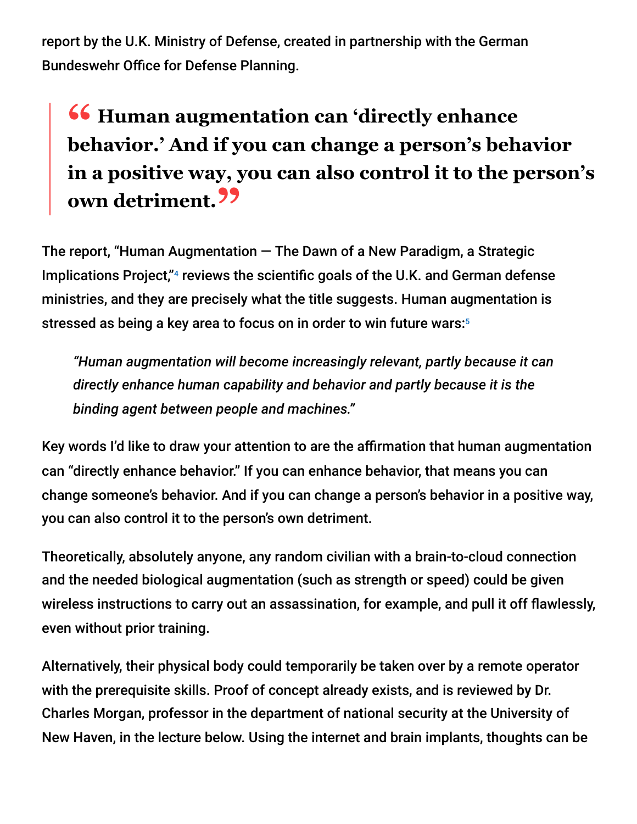report by the U.K. Ministry of Defense, created in partnership with the German Bundeswehr Office for Defense Planning.

# **<sup>66</sup> Human augmentation can 'directly enhance**<br>hehavior ' And if you can change a nerson's heh **behavior.' And if you can change a person's behavior in a positive way, you can also control it to the person's own detriment."**

The report, "Human Augmentation  $-$  The Dawn of a New Paradigm, a Strategic Implications Project,"<sup>4</sup> reviews the scientific goals of the U.K. and German defense ministries, and they are precisely what the title suggests. Human augmentation is stressed as being a key area to focus on in order to win future wars: 5

*"Human augmentation will become increasingly relevant, partly because it can directly enhance human capability and behavior and partly because it is the binding agent between people and machines."*

Key words I'd like to draw your attention to are the affirmation that human augmentation can "directly enhance behavior." If you can enhance behavior, that means you can change someone's behavior. And if you can change a person's behavior in a positive way, you can also control it to the person's own detriment.

Theoretically, absolutely anyone, any random civilian with a brain-to-cloud connection and the needed biological augmentation (such as strength or speed) could be given wireless instructions to carry out an assassination, for example, and pull it off flawlessly, even without prior training.

Alternatively, their physical body could temporarily be taken over by a remote operator with the prerequisite skills. Proof of concept already exists, and is reviewed by Dr. Charles Morgan, professor in the department of national security at the University of New Haven, in the lecture below. Using the internet and brain implants, thoughts can be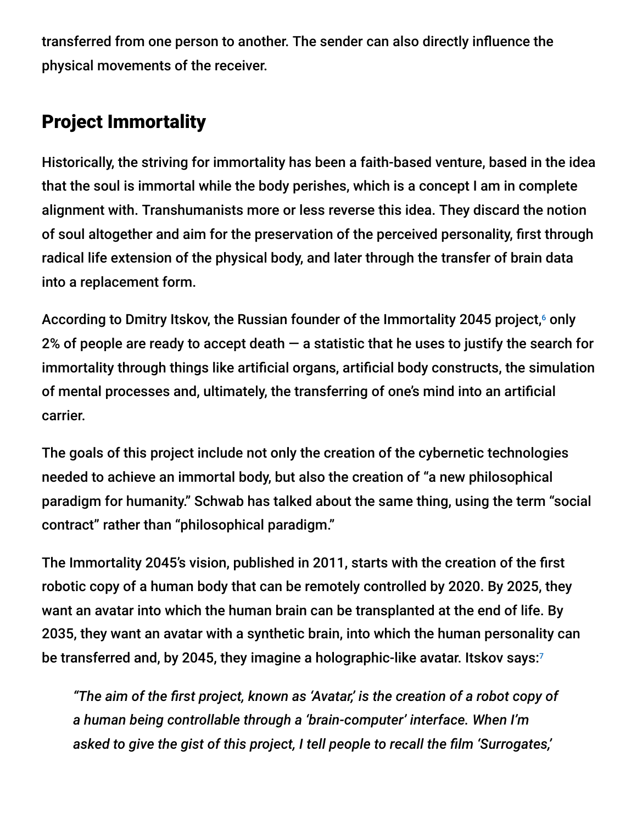transferred from one person to another. The sender can also directly influence the physical movements of the receiver.

# Project Immortality

Historically, the striving for immortality has been a faith-based venture, based in the idea that the soul is immortal while the body perishes, which is a concept I am in complete alignment with. Transhumanists more or less reverse this idea. They discard the notion of soul altogether and aim for the preservation of the perceived personality, first through radical life extension of the physical body, and later through the transfer of brain data into a replacement form.

According to Dmitry Itskov, the Russian founder of the Immortality 2045 project,<sup>6</sup> only 2% of people are ready to accept death  $-$  a statistic that he uses to justify the search for immortality through things like artificial organs, artificial body constructs, the simulation of mental processes and, ultimately, the transferring of one's mind into an artificial carrier.

The goals of this project include not only the creation of the cybernetic technologies needed to achieve an immortal body, but also the creation of "a new philosophical paradigm for humanity." Schwab has talked about the same thing, using the term "social contract" rather than "philosophical paradigm."

The Immortality 2045's vision, published in 2011, starts with the creation of the first robotic copy of a human body that can be remotely controlled by 2020. By 2025, they want an avatar into which the human brain can be transplanted at the end of life. By 2035, they want an avatar with a synthetic brain, into which the human personality can be transferred and, by 2045, they imagine a holographic-like avatar. Itskov says:<sup>7</sup>

*"The aim of the first project, known as 'Avatar,' is the creation of a robot copy of a human being controllable through a 'brain-computer' interface. When I'm asked to give the gist of this project, I tell people to recall the film 'Surrogates,'*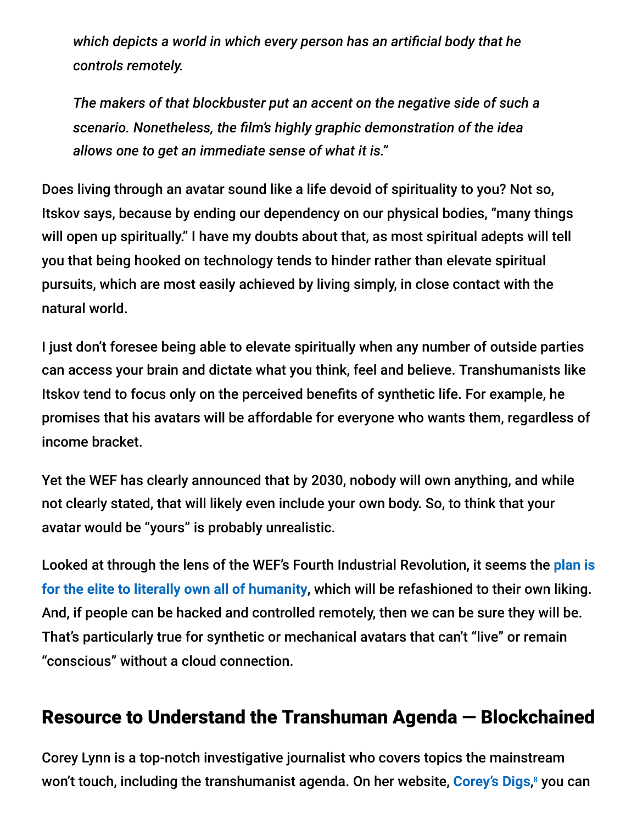*which depicts a world in which every person has an artificial body that he controls remotely.*

*The makers of that blockbuster put an accent on the negative side of such a scenario. Nonetheless, the film's highly graphic demonstration of the idea allows one to get an immediate sense of what it is."*

Does living through an avatar sound like a life devoid of spirituality to you? Not so, Itskov says, because by ending our dependency on our physical bodies, "many things will open up spiritually." I have my doubts about that, as most spiritual adepts will tell you that being hooked on technology tends to hinder rather than elevate spiritual pursuits, which are most easily achieved by living simply, in close contact with the natural world.

I just don't foresee being able to elevate spiritually when any number of outside parties can access your brain and dictate what you think, feel and believe. Transhumanists like Itskov tend to focus only on the perceived benefits of synthetic life. For example, he promises that his avatars will be affordable for everyone who wants them, regardless of income bracket.

Yet the WEF has clearly announced that by 2030, nobody will own anything, and while not clearly stated, that will likely even include your own body. So, to think that your avatar would be "yours" is probably unrealistic.

[Looked at through the lens of the WEF's Fourth Industrial Revolution, it seems the](https://takecontrol.substack.com/p/5g-cyborg-ecosystem) **plan is for the elite to literally own all of humanity**, which will be refashioned to their own liking. And, if people can be hacked and controlled remotely, then we can be sure they will be. That's particularly true for synthetic or mechanical avatars that can't "live" or remain "conscious" without a cloud connection.

### Resource to Understand the Transhuman Agenda — Blockchained

Corey Lynn is a top-notch investigative journalist who covers topics the mainstream won't touch, including the transhumanist agenda. On her website, <mark>[Corey's Digs](https://www.coreysdigs.com/technology/the-global-landscape-on-vaccine-id-passports-part-4-blockchained/),</mark>8 you can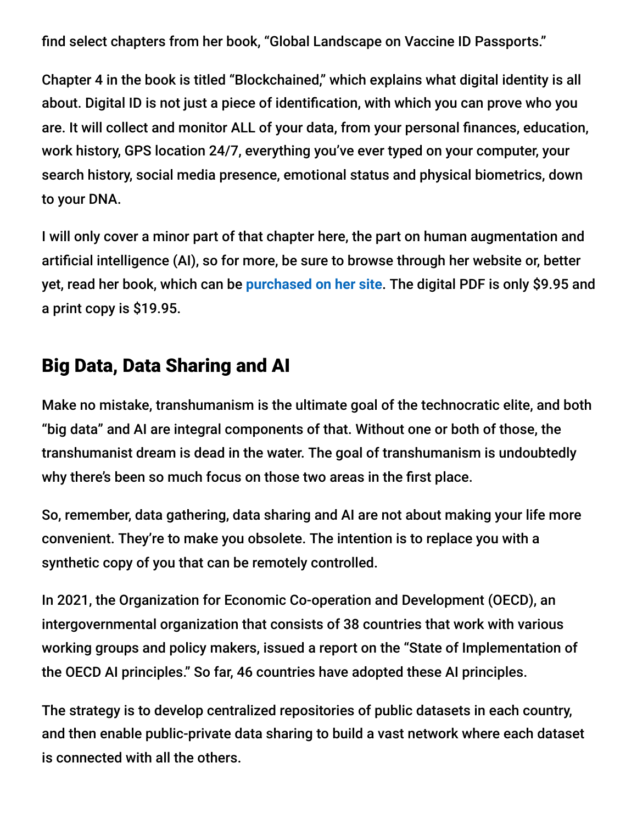find select chapters from her book, "Global Landscape on Vaccine ID Passports."

Chapter 4 in the book is titled "Blockchained," which explains what digital identity is all about. Digital ID is not just a piece of identification, with which you can prove who you are. It will collect and monitor ALL of your data, from your personal finances, education, work history, GPS location 24/7, everything you've ever typed on your computer, your search history, social media presence, emotional status and physical biometrics, down to your DNA.

I will only cover a minor part of that chapter here, the part on human augmentation and artificial intelligence (AI), so for more, be sure to browse through her website or, better yet, read her book, which can be **[purchased on her site](https://www.coreysdigs.com/health-science/corey-lynns-book-on-vaccine-id-passports-and-where-its-headed-is-now-available/)**. The digital PDF is only \$9.95 and a print copy is \$19.95.

#### Big Data, Data Sharing and AI

Make no mistake, transhumanism is the ultimate goal of the technocratic elite, and both "big data" and AI are integral components of that. Without one or both of those, the transhumanist dream is dead in the water. The goal of transhumanism is undoubtedly why there's been so much focus on those two areas in the first place.

So, remember, data gathering, data sharing and AI are not about making your life more convenient. They're to make you obsolete. The intention is to replace you with a synthetic copy of you that can be remotely controlled.

In 2021, the Organization for Economic Co-operation and Development (OECD), an intergovernmental organization that consists of 38 countries that work with various working groups and policy makers, issued a report on the "State of Implementation of the OECD AI principles." So far, 46 countries have adopted these AI principles.

The strategy is to develop centralized repositories of public datasets in each country, and then enable public-private data sharing to build a vast network where each dataset is connected with all the others.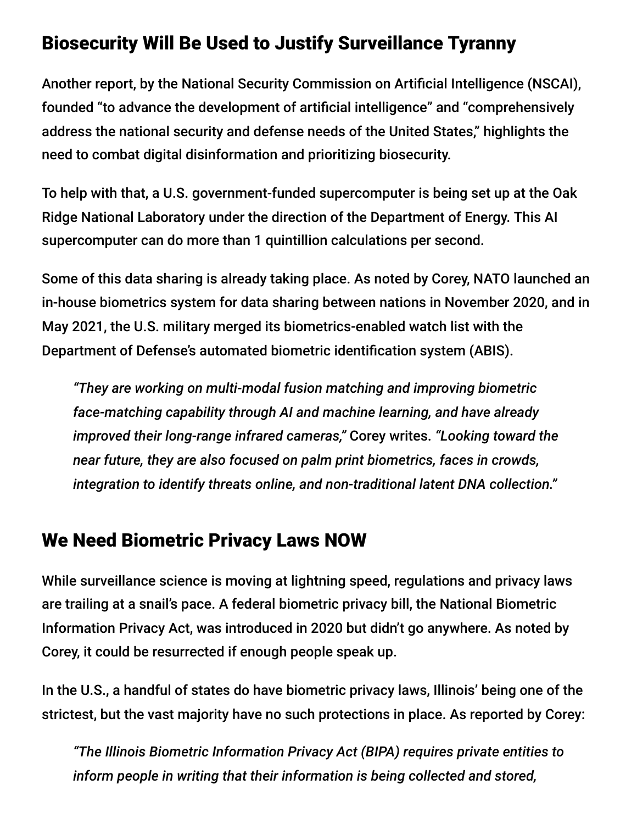### Biosecurity Will Be Used to Justify Surveillance Tyranny

Another report, by the National Security Commission on Artificial Intelligence (NSCAI), founded "to advance the development of artificial intelligence" and "comprehensively address the national security and defense needs of the United States," highlights the need to combat digital disinformation and prioritizing biosecurity.

To help with that, a U.S. government-funded supercomputer is being set up at the Oak Ridge National Laboratory under the direction of the Department of Energy. This AI supercomputer can do more than 1 quintillion calculations per second.

Some of this data sharing is already taking place. As noted by Corey, NATO launched an in-house biometrics system for data sharing between nations in November 2020, and in May 2021, the U.S. military merged its biometrics-enabled watch list with the Department of Defense's automated biometric identification system (ABIS).

*"They are working on multi-modal fusion matching and improving biometric face-matching capability through AI and machine learning, and have already improved their long-range infrared cameras,"* Corey writes. *"Looking toward the near future, they are also focused on palm print biometrics, faces in crowds, integration to identify threats online, and non-traditional latent DNA collection."*

### We Need Biometric Privacy Laws NOW

While surveillance science is moving at lightning speed, regulations and privacy laws are trailing at a snail's pace. A federal biometric privacy bill, the National Biometric Information Privacy Act, was introduced in 2020 but didn't go anywhere. As noted by Corey, it could be resurrected if enough people speak up.

In the U.S., a handful of states do have biometric privacy laws, Illinois' being one of the strictest, but the vast majority have no such protections in place. As reported by Corey:

*"The Illinois Biometric Information Privacy Act (BIPA) requires private entities to inform people in writing that their information is being collected and stored,*